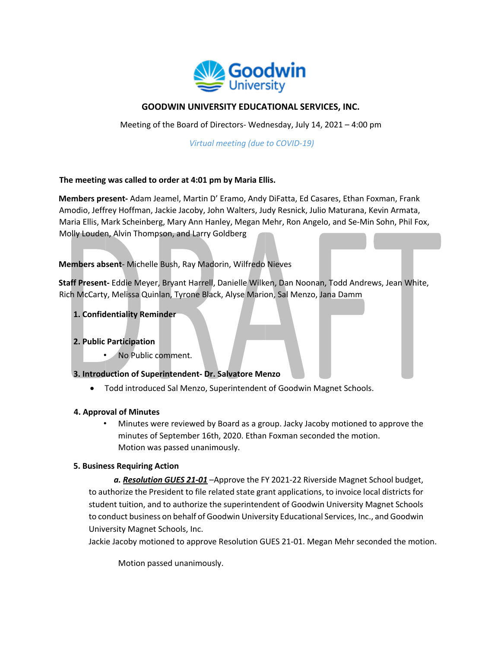

# **GOODWIN UNIVERSITY EDUCATIONAL SERVICES, INC.**

Meeting of the Board of Directors- Wednesday, July 14, 2021 – 4:00 pm

*Virtual meeting (due to COVID-19)* 

## **The meeting was called to order at 4:01 pm by Maria Ellis.**

**Members present-** Adam Jeamel, Martin D' Eramo, Andy DiFatta, Ed Casares, Ethan Foxman, Frank Amodio, Jeffrey Hoffman, Jackie Jacoby, John Walters, Judy Resnick, Julio Maturana, Kevin Armata, Maria Ellis, Mark Scheinberg, Mary Ann Hanley, Megan Mehr, Ron Angelo, and Se-Min Sohn, Phil Fox, Molly Louden, Alvin Thompson, and Larry Goldberg

## **Members absent**- Michelle Bush, Ray Madorin, Wilfredo Nieves

**Staff Present-** Eddie Meyer, Bryant Harrell, Danielle Wilken, Dan Noonan, Todd Andrews, Jean White, Rich McCarty, Melissa Quinlan, Tyrone Black, Alyse Marion, Sal Menzo, Jana Damm

## **1. Confidentiality Reminder**

## **2. Public Participation**

• No Public comment.

#### **3. Introduction of Superintendent- Dr. Salvatore Menzo**

• Todd introduced Sal Menzo, Superintendent of Goodwin Magnet Schools.

#### **4. Approval of Minutes**

• Minutes were reviewed by Board as a group. Jacky Jacoby motioned to approve the minutes of September 16th, 2020. Ethan Foxman seconded the motion. Motion was passed unanimously.

#### **5. Business Requiring Action**

*a. Resolution GUES 21-01* –Approve the FY 2021-22 Riverside Magnet School budget, to authorize the President to file related state grant applications, to invoice local districts for student tuition, and to authorize the superintendent of Goodwin University Magnet Schools to conduct business on behalf of Goodwin University Educational Services, Inc., and Goodwin University Magnet Schools, Inc.

Jackie Jacoby motioned to approve Resolution GUES 21-01. Megan Mehr seconded the motion.

Motion passed unanimously.